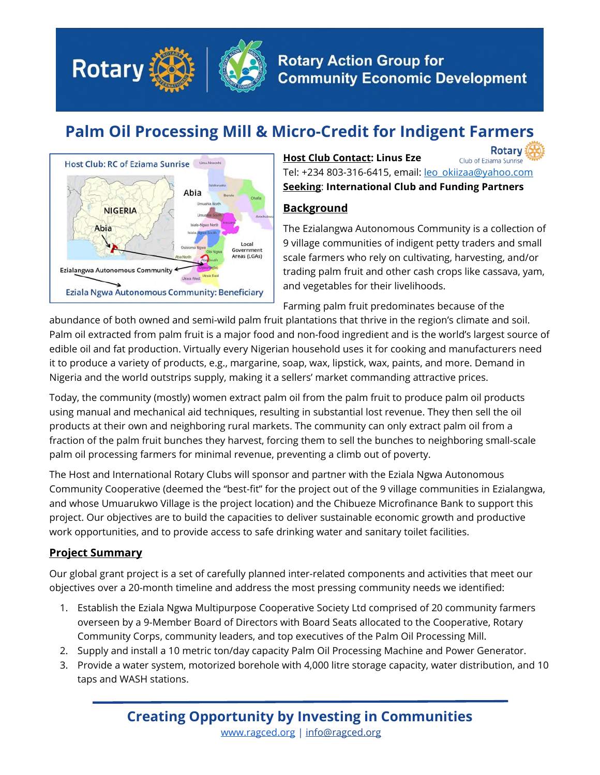

# **Palm Oil Processing Mill & Micro-Credit for Indigent Farmers**



**Rotary Host Club Contact: Linus Eze** Club of Eziama Sunrise Tel: +234 803-316-6415, email: leo\_okiizaa@yahoo.com **Seeking**: **International Club and Funding Partners**

## **Background**

The Ezialangwa Autonomous Community is a collection of 9 village communities of indigent petty traders and small scale farmers who rely on cultivating, harvesting, and/or trading palm fruit and other cash crops like cassava, yam, and vegetables for their livelihoods.

Farming palm fruit predominates because of the

abundance of both owned and semi-wild palm fruit plantations that thrive in the region's climate and soil. Palm oil extracted from palm fruit is a major food and non-food ingredient and is the world's largest source of edible oil and fat production. Virtually every Nigerian household uses it for cooking and manufacturers need it to produce a variety of products, e.g., margarine, soap, wax, lipstick, wax, paints, and more. Demand in Nigeria and the world outstrips supply, making it a sellers' market commanding attractive prices.

Today, the community (mostly) women extract palm oil from the palm fruit to produce palm oil products using manual and mechanical aid techniques, resulting in substantial lost revenue. They then sell the oil products at their own and neighboring rural markets. The community can only extract palm oil from a fraction of the palm fruit bunches they harvest, forcing them to sell the bunches to neighboring small-scale palm oil processing farmers for minimal revenue, preventing a climb out of poverty.

The Host and International Rotary Clubs will sponsor and partner with the Eziala Ngwa Autonomous Community Cooperative (deemed the "best-fit" for the project out of the 9 village communities in Ezialangwa, and whose Umuarukwo Village is the project location) and the Chibueze Microfinance Bank to support this project. Our objectives are to build the capacities to deliver sustainable economic growth and productive work opportunities, and to provide access to safe drinking water and sanitary toilet facilities.

## **Project Summary**

Our global grant project is a set of carefully planned inter-related components and activities that meet our objectives over a 20-month timeline and address the most pressing community needs we identified:

- 1. Establish the Eziala Ngwa Multipurpose Cooperative Society Ltd comprised of 20 community farmers overseen by a 9-Member Board of Directors with Board Seats allocated to the Cooperative, Rotary Community Corps, community leaders, and top executives of the Palm Oil Processing Mill.
- 2. Supply and install a 10 metric ton/day capacity Palm Oil Processing Machine and Power Generator.
- 3. Provide a water system, motorized borehole with 4,000 litre storage capacity, water distribution, and 10 taps and WASH stations.